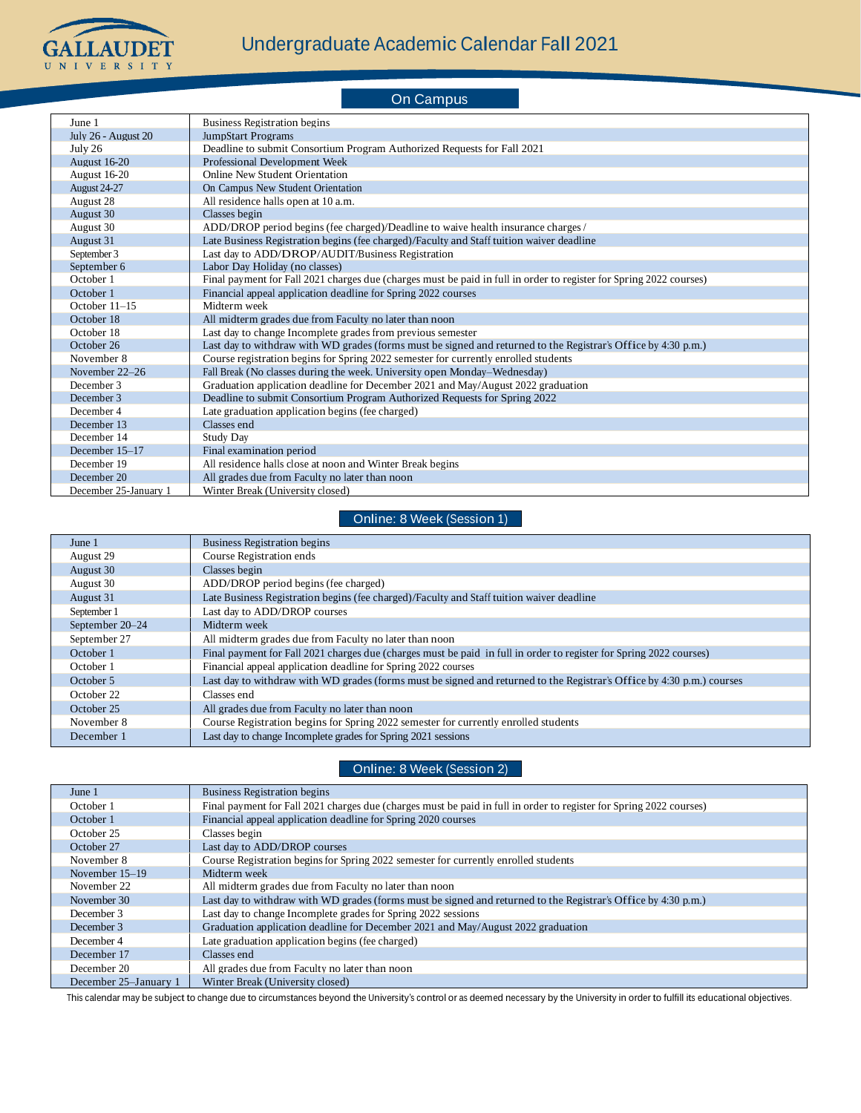

On Campus June 1 Business Registration begins July 26 - August 20 JumpStart Programs<br>
July 26 Deadline to submit C Deadline to submit Consortium Program Authorized Requests for Fall 2021 August 16-20 Professional Development Week August 16-20 Online New Student Orientation August 24-27 On Campus New Student Orientation August 28 All residence halls open at 10 a.m. August 30 Classes begin August 30 ADD/DROP period begins (fee charged)/Deadline to waive health insurance charges / August 31 Late Business Registration begins (fee charged)/Faculty and Staff tuition waiver deadline September 3 Last day to ADD/DROP/AUDIT/Business Registration September 6 Labor Day Holiday (no classes)<br>October 1 Final payment for Fall 2021 chai Final payment for Fall 2021 charges due (charges must be paid in full in order to register for Spring 2022 courses) October 1 Financial appeal application deadline for Spring 2022 courses October 11–15 Midterm week October 18 All midterm grades due from Faculty no later than noon October 18 Last day to change Incomplete grades from previous semester<br>October 26 Last day to withdraw with WD grades (forms must be signed a Last day to withdraw with WD grades (forms must be signed and returned to the Registrar's Office by  $4:30$  p.m.) November 8 Course registration begins for Spring 2022 semester for currently enrolled students<br>November 22–26 Fall Break (No classes during the week. University open Monday–Wednesday) Fall Break (No classes during the week. University open Monday–Wednesday) December 3 Graduation application deadline for December 2021 and May/August 2022 graduation December 3 Deadline to submit Consortium Program Authorized Requests for Spring 2022 December 4 Late graduation application begins (fee charged)<br>December 13 Classes end December 13 December 14 Study Day<br>December 15–17 Final exam Final examination period December 19 All residence halls close at noon and Winter Break begins<br>December 20 All grades due from Faculty no later than noon All grades due from Faculty no later than noon December 25-January 1 Winter Break (University closed)

Online: 8 Week (Session 1)

| June 1          | <b>Business Registration begins</b>                                                                                    |
|-----------------|------------------------------------------------------------------------------------------------------------------------|
| August 29       | Course Registration ends                                                                                               |
| August 30       | Classes begin                                                                                                          |
| August 30       | ADD/DROP period begins (fee charged)                                                                                   |
| August 31       | Late Business Registration begins (fee charged)/Faculty and Staff tuition waiver deadline                              |
| September 1     | Last day to ADD/DROP courses                                                                                           |
| September 20-24 | Midterm week                                                                                                           |
| September 27    | All midterm grades due from Faculty no later than noon                                                                 |
| October 1       | Final payment for Fall 2021 charges due (charges must be paid in full in order to register for Spring 2022 courses)    |
| October 1       | Financial appeal application deadline for Spring 2022 courses                                                          |
| October 5       | Last day to withdraw with WD grades (forms must be signed and returned to the Registrar's Office by 4:30 p.m.) courses |
| October 22      | Classes end                                                                                                            |
| October 25      | All grades due from Faculty no later than noon                                                                         |
| November 8      | Course Registration begins for Spring 2022 semester for currently enrolled students                                    |
| December 1      | Last day to change Incomplete grades for Spring 2021 sessions                                                          |

## Online: 8 Week (Session 2)

| June 1                | <b>Business Registration begins</b>                                                                                 |
|-----------------------|---------------------------------------------------------------------------------------------------------------------|
| October 1             | Final payment for Fall 2021 charges due (charges must be paid in full in order to register for Spring 2022 courses) |
| October 1             | Financial appeal application deadline for Spring 2020 courses                                                       |
| October 25            | Classes begin                                                                                                       |
| October 27            | Last day to ADD/DROP courses                                                                                        |
| November 8            | Course Registration begins for Spring 2022 semester for currently enrolled students                                 |
| November $15-19$      | Midterm week                                                                                                        |
| November 22           | All midterm grades due from Faculty no later than noon                                                              |
| November 30           | Last day to withdraw with WD grades (forms must be signed and returned to the Registrar's Office by 4:30 p.m.)      |
| December 3            | Last day to change Incomplete grades for Spring 2022 sessions                                                       |
| December 3            | Graduation application deadline for December 2021 and May/August 2022 graduation                                    |
| December 4            | Late graduation application begins (fee charged)                                                                    |
| December 17           | Classes end                                                                                                         |
| December 20           | All grades due from Faculty no later than noon                                                                      |
| December 25–January 1 | Winter Break (University closed)                                                                                    |

This calendar may be subject to change due to circumstances beyond the University's control or as deemed necessary by the University in order to fulfill its educational objectives.